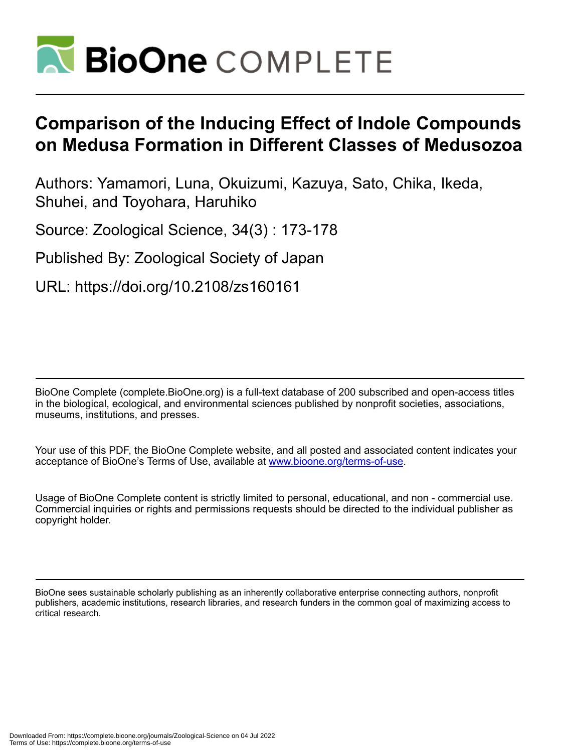

# **Comparison of the Inducing Effect of Indole Compounds on Medusa Formation in Different Classes of Medusozoa**

Authors: Yamamori, Luna, Okuizumi, Kazuya, Sato, Chika, Ikeda, Shuhei, and Toyohara, Haruhiko

Source: Zoological Science, 34(3) : 173-178

Published By: Zoological Society of Japan

URL: https://doi.org/10.2108/zs160161

BioOne Complete (complete.BioOne.org) is a full-text database of 200 subscribed and open-access titles in the biological, ecological, and environmental sciences published by nonprofit societies, associations, museums, institutions, and presses.

Your use of this PDF, the BioOne Complete website, and all posted and associated content indicates your acceptance of BioOne's Terms of Use, available at www.bioone.org/terms-of-use.

Usage of BioOne Complete content is strictly limited to personal, educational, and non - commercial use. Commercial inquiries or rights and permissions requests should be directed to the individual publisher as copyright holder.

BioOne sees sustainable scholarly publishing as an inherently collaborative enterprise connecting authors, nonprofit publishers, academic institutions, research libraries, and research funders in the common goal of maximizing access to critical research.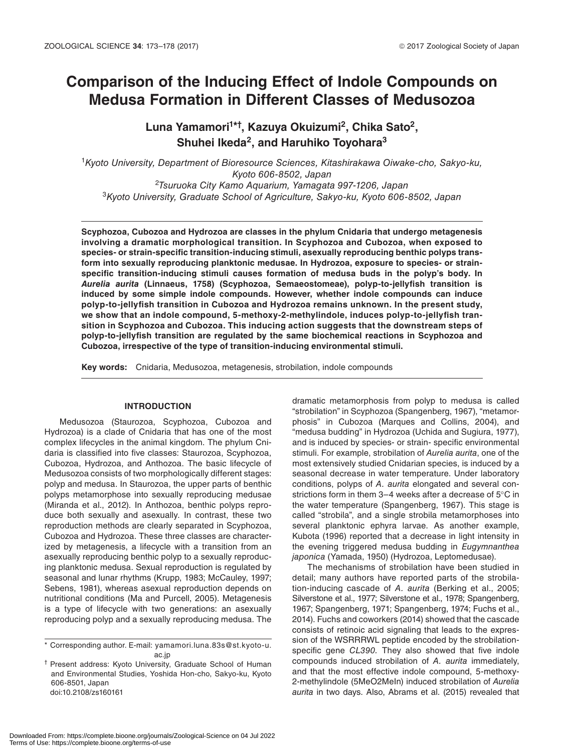# **Comparison of the Inducing Effect of Indole Compounds on Medusa Formation in Different Classes of Medusozoa**

**Luna Yamamori1\*†, Kazuya Okuizumi2, Chika Sato2, Shuhei Ikeda2, and Haruhiko Toyohara3**

 *Kyoto University, Department of Bioresource Sciences, Kitashirakawa Oiwake-cho, Sakyo-ku, Kyoto 606-8502, Japan Tsuruoka City Kamo Aquarium, Yamagata 997-1206, Japan Kyoto University, Graduate School of Agriculture, Sakyo-ku, Kyoto 606-8502, Japan*

**Scyphozoa, Cubozoa and Hydrozoa are classes in the phylum Cnidaria that undergo metagenesis involving a dramatic morphological transition. In Scyphozoa and Cubozoa, when exposed to species- or strain-specific transition-inducing stimuli, asexually reproducing benthic polyps transform into sexually reproducing planktonic medusae. In Hydrozoa, exposure to species- or strainspecific transition-inducing stimuli causes formation of medusa buds in the polyp's body. In**  *Aurelia aurita* **(Linnaeus, 1758) (Scyphozoa, Semaeostomeae), polyp-to-jellyfish transition is induced by some simple indole compounds. However, whether indole compounds can induce polyp-to-jellyfish transition in Cubozoa and Hydrozoa remains unknown. In the present study, we show that an indole compound, 5-methoxy-2-methylindole, induces polyp-to-jellyfish transition in Scyphozoa and Cubozoa. This inducing action suggests that the downstream steps of polyp-to-jellyfish transition are regulated by the same biochemical reactions in Scyphozoa and Cubozoa, irrespective of the type of transition-inducing environmental stimuli.**

**Key words:** Cnidaria, Medusozoa, metagenesis, strobilation, indole compounds

# **INTRODUCTION**

Medusozoa (Staurozoa, Scyphozoa, Cubozoa and Hydrozoa) is a clade of Cnidaria that has one of the most complex lifecycles in the animal kingdom. The phylum Cnidaria is classified into five classes: Staurozoa, Scyphozoa, Cubozoa, Hydrozoa, and Anthozoa. The basic lifecycle of Medusozoa consists of two morphologically different stages: polyp and medusa. In Staurozoa, the upper parts of benthic polyps metamorphose into sexually reproducing medusae (Miranda et al., 2012). In Anthozoa, benthic polyps reproduce both sexually and asexually. In contrast, these two reproduction methods are clearly separated in Scyphozoa, Cubozoa and Hydrozoa. These three classes are characterized by metagenesis, a lifecycle with a transition from an asexually reproducing benthic polyp to a sexually reproducing planktonic medusa. Sexual reproduction is regulated by seasonal and lunar rhythms (Krupp, 1983; McCauley, 1997; Sebens, 1981), whereas asexual reproduction depends on nutritional conditions (Ma and Purcell, 2005). Metagenesis is a type of lifecycle with two generations: an asexually reproducing polyp and a sexually reproducing medusa. The

dramatic metamorphosis from polyp to medusa is called "strobilation" in Scyphozoa (Spangenberg, 1967), "metamorphosis" in Cubozoa (Marques and Collins, 2004), and "medusa budding" in Hydrozoa (Uchida and Sugiura, 1977), and is induced by species- or strain- specific environmental stimuli. For example, strobilation of *Aurelia aurita*, one of the most extensively studied Cnidarian species, is induced by a seasonal decrease in water temperature. Under laboratory conditions, polyps of *A. aurita* elongated and several constrictions form in them 3–4 weeks after a decrease of 5°C in the water temperature (Spangenberg, 1967). This stage is called "strobila", and a single strobila metamorphoses into several planktonic ephyra larvae. As another example, Kubota (1996) reported that a decrease in light intensity in the evening triggered medusa budding in *Eugymnanthea japonica* (Yamada, 1950) (Hydrozoa, Leptomedusae).

The mechanisms of strobilation have been studied in detail; many authors have reported parts of the strobilation-inducing cascade of *A. aurita* (Berking et al., 2005; Silverstone et al., 1977; Silverstone et al., 1978; Spangenberg, 1967; Spangenberg, 1971; Spangenberg, 1974; Fuchs et al., 2014). Fuchs and coworkers (2014) showed that the cascade consists of retinoic acid signaling that leads to the expression of the WSRRRWL peptide encoded by the strobilationspecific gene *CL390.* They also showed that five indole compounds induced strobilation of *A. aurita* immediately, and that the most effective indole compound, 5-methoxy-2-methylindole (5MeO2MeIn) induced strobilation of *Aurelia aurita* in two days. Also, Abrams et al. (2015) revealed that

<sup>\*</sup> Corresponding author. E-mail: yamamori.luna.83s@st.kyoto-u. ac.jp

<sup>†</sup> Present address: Kyoto University, Graduate School of Human and Environmental Studies, Yoshida Hon-cho, Sakyo-ku, Kyoto 606-8501, Japan doi:10.2108/zs160161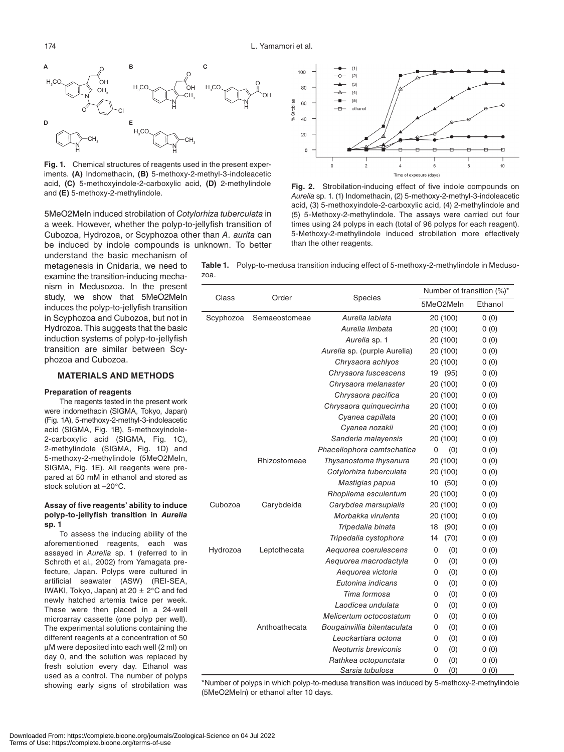

**Fig. 1.** Chemical structures of reagents used in the present experiments. **(A)** Indomethacin, **(B)** 5-methoxy-2-methyl-3-indoleacetic acid, **(C)** 5-methoxyindole-2-carboxylic acid, **(D)** 2-methylindole and **(E)** 5-methoxy-2-methylindole.

5MeO2MeIn induced strobilation of *Cotylorhiza tuberculata* in a week. However, whether the polyp-to-jellyfish transition of Cubozoa, Hydrozoa, or Scyphozoa other than *A. aurita* can be induced by indole compounds is unknown. To better

understand the basic mechanism of metagenesis in Cnidaria, we need to examine the transition-inducing mechanism in Medusozoa. In the present study, we show that 5MeO2MeIn induces the polyp-to-jellyfish transition in Scyphozoa and Cubozoa, but not in Hydrozoa. This suggests that the basic induction systems of polyp-to-jellyfish transition are similar between Scyphozoa and Cubozoa.

#### **MATERIALS AND METHODS**

#### **Preparation of reagents**

The reagents tested in the present work were indomethacin (SIGMA, Tokyo, Japan) (Fig. 1A), 5-methoxy-2-methyl-3-indoleacetic acid (SIGMA, Fig. 1B), 5-methoxyindole-2-carboxylic acid (SIGMA, Fig. 1C), 2-methylindole (SIGMA, Fig. 1D) and 5-methoxy-2-methylindole (5MeO2MeIn, SIGMA, Fig. 1E). All reagents were prepared at 50 mM in ethanol and stored as stock solution at –20°C.

#### **Assay of five reagents' ability to induce polyp-to-jellyfish transition in** *Aurelia* **sp. 1**

To assess the inducing ability of the aforementioned reagents, each was assayed in *Aurelia* sp. 1 (referred to in Schroth et al., 2002) from Yamagata prefecture, Japan. Polyps were cultured in artificial seawater (ASW) (REI-SEA, IWAKI, Tokyo, Japan) at  $20 \pm 2^{\circ}$ C and fed newly hatched artemia twice per week. These were then placed in a 24-well microarray cassette (one polyp per well). The experimental solutions containing the different reagents at a concentration of 50 μM were deposited into each well (2 ml) on day 0, and the solution was replaced by fresh solution every day. Ethanol was used as a control. The number of polyps showing early signs of strobilation was



**Fig. 2.** Strobilation-inducing effect of five indole compounds on *Aurelia* sp. 1. (1) Indomethacin, (2) 5-methoxy-2-methyl-3-indoleacetic acid, (3) 5-methoxyindole-2-carboxylic acid, (4) 2-methylindole and (5) 5-Methoxy-2-methylindole. The assays were carried out four times using 24 polyps in each (total of 96 polyps for each reagent). 5-Methoxy-2-methylindole induced strobilation more effectively than the other reagents.

**Table 1.** Polyp-to-medusa transition inducing effect of 5-methoxy-2-methylindole in Medusozoa.

| Class     | Order         | <b>Species</b>               | Number of transition (%)* |         |
|-----------|---------------|------------------------------|---------------------------|---------|
|           |               |                              | 5MeO2MeIn                 | Ethanol |
| Scyphozoa | Semaeostomeae | Aurelia labiata              | 20 (100)                  | 0(0)    |
|           |               | Aurelia limbata              | 20 (100)                  | 0(0)    |
|           |               | Aurelia sp. 1                | 20 (100)                  | 0(0)    |
|           |               | Aurelia sp. (purple Aurelia) | 20 (100)                  | 0(0)    |
|           |               | Chrysaora achlyos            | 20 (100)                  | 0(0)    |
|           |               | Chrysaora fuscescens         | 19 (95)                   | 0(0)    |
|           |               | Chrysaora melanaster         | 20 (100)                  | 0(0)    |
|           |               | Chrysaora pacifica           | 20 (100)                  | 0(0)    |
|           |               | Chrysaora quinquecirrha      | 20 (100)                  | 0(0)    |
|           |               | Cyanea capillata             | 20 (100)                  | 0(0)    |
|           |               | Cyanea nozakii               | 20 (100)                  | 0(0)    |
|           |               | Sanderia malayensis          | 20 (100)                  | 0(0)    |
|           |               | Phacellophora camtschatica   | 0<br>(0)                  | 0(0)    |
|           | Rhizostomeae  | Thysanostoma thysanura       | 20 (100)                  | 0(0)    |
|           |               | Cotylorhiza tuberculata      | 20 (100)                  | 0(0)    |
|           |               | Mastigias papua              | 10 (50)                   | 0(0)    |
|           |               | Rhopilema esculentum         | 20 (100)                  | 0(0)    |
| Cubozoa   | Carybdeida    | Carybdea marsupialis         | 20 (100)                  | 0(0)    |
|           |               | Morbakka virulenta           | 20 (100)                  | 0(0)    |
|           |               | Tripedalia binata            | (90)<br>18                | 0(0)    |
|           |               | Tripedalia cystophora        | 14<br>(70)                | 0(0)    |
| Hydrozoa  | Leptothecata  | Aequorea coerulescens        | (0)<br>0                  | 0(0)    |
|           |               | Aequorea macrodactyla        | (0)<br>0                  | 0(0)    |
|           |               | Aequorea victoria            | (0)<br>0                  | 0(0)    |
|           |               | Eutonina indicans            | (0)<br>0                  | 0(0)    |
|           |               | Tima formosa                 | (0)<br>0                  | 0(0)    |
|           |               | Laodicea undulata            | 0<br>(0)                  | 0(0)    |
|           |               | Melicertum octocostatum      | (0)<br>0                  | 0(0)    |
|           | Anthoathecata | Bougainvillia bitentaculata  | (0)<br>0                  | 0(0)    |
|           |               | Leuckartiara octona          | (0)<br>0                  | 0(0)    |
|           |               | <b>Neoturris breviconis</b>  | 0<br>(0)                  | 0(0)    |
|           |               | Rathkea octopunctata         | (0)<br>0                  | 0(0)    |
|           |               | Sarsia tubulosa              | 0<br>(0)                  | 0(0)    |

\*Number of polyps in which polyp-to-medusa transition was induced by 5-methoxy-2-methylindole (5MeO2MeIn) or ethanol after 10 days.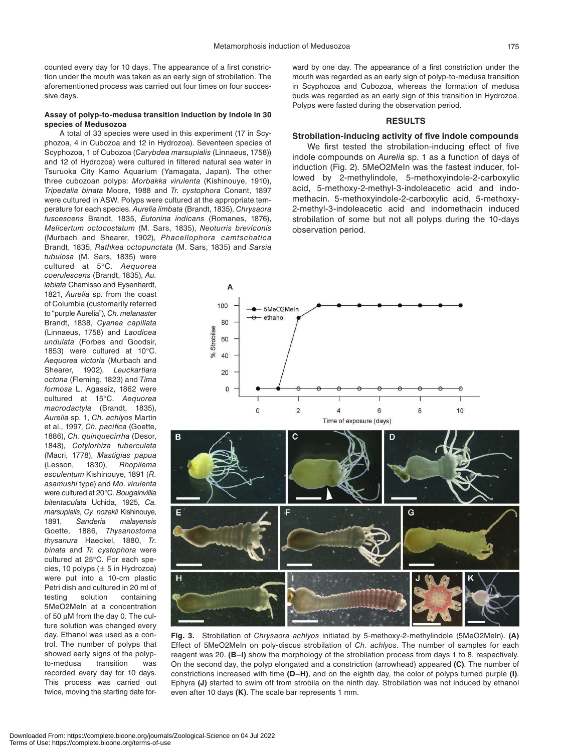counted every day for 10 days. The appearance of a first constriction under the mouth was taken as an early sign of strobilation. The aforementioned process was carried out four times on four successive days.

#### **Assay of polyp-to-medusa transition induction by indole in 30 species of Medusozoa**

A total of 33 species were used in this experiment (17 in Scyphozoa, 4 in Cubozoa and 12 in Hydrozoa). Seventeen species of Scyphozoa, 1 of Cubozoa (*Carybdea marsupialis* (Linnaeus, 1758)) and 12 of Hydrozoa) were cultured in filtered natural sea water in Tsuruoka City Kamo Aquarium (Yamagata, Japan). The other three cubozoan polyps: *Morbakka virulenta* (Kishinouye, 1910), *Tripedalia binata* Moore, 1988 and *Tr. cystophora* Conant, 1897 were cultured in ASW. Polyps were cultured at the appropriate temperature for each species. *Aurelia limbata* (Brandt, 1835), *Chrysaora fuscescens* Brandt, 1835, *Eutonina indicans* (Romanes, 1876), *Melicertum octocostatum* (M. Sars, 1835), *Neoturris breviconis* (Murbach and Shearer, 1902), *Phacellophora camtschatica* Brandt, 1835, *Rathkea octopunctata* (M. Sars, 1835) and *Sarsia* 

*tubulosa* (M. Sars, 1835) were cultured at 5°C. *Aequorea coerulescens* (Brandt, 1835), *Au. labiata* Chamisso and Eysenhardt, 1821, *Aurelia* sp*.* from the coast of Columbia (customarily referred to "purple Aurelia"), *Ch. melanaster* Brandt, 1838, *Cyanea capillata* (Linnaeus, 1758) and *Laodicea undulata* (Forbes and Goodsir, 1853) were cultured at 10°C. *Aequorea victoria* (Murbach and Shearer, 1902), *Leuckartiara octona* (Fleming, 1823) and *Tima formosa* L. Agassiz, 1862 were cultured at 15°C. *Aequorea macrodactyla* (Brandt, 1835), *Aurelia* sp. 1, *Ch. achlyos* Martin et al., 1997, *Ch. pacifica* (Goette, 1886), *Ch. quinquecirrha* (Desor, 1848), *Cotylorhiza tuberculata* (Macri, 1778), *Mastigias papua* (Lesson, 1830), *Rhopilema esculentum* Kishinouye, 1891 (*R. asamushi* type) and *Mo. virulenta* were cultured at 20°C. *Bougainvillia bitentaculata* Uchida, 1925, *Ca. marsupialis*, *Cy. nozakii* Kishinouye, 1891, *Sanderia malayensis* Goette, 1886, *Thysanostoma thysanura* Haeckel, 1880, *Tr. binata* and *Tr. cystophora* were cultured at 25°C. For each species, 10 polyps ( $\pm$  5 in Hydrozoa) were put into a 10-cm plastic Petri dish and cultured in 20 ml of testing solution containing 5MeO2MeIn at a concentration of 50 μM from the day 0. The culture solution was changed every day. Ethanol was used as a control. The number of polyps that showed early signs of the polypto-medusa transition was recorded every day for 10 days. This process was carried out twice, moving the starting date forward by one day. The appearance of a first constriction under the mouth was regarded as an early sign of polyp-to-medusa transition in Scyphozoa and Cubozoa, whereas the formation of medusa buds was regarded as an early sign of this transition in Hydrozoa. Polyps were fasted during the observation period.

## **RESULTS**

#### **Strobilation-inducing activity of five indole compounds**

We first tested the strobilation-inducing effect of five indole compounds on *Aurelia* sp. 1 as a function of days of induction (Fig. 2). 5MeO2MeIn was the fastest inducer, followed by 2-methylindole, 5-methoxyindole-2-carboxylic acid, 5-methoxy-2-methyl-3-indoleacetic acid and indomethacin. 5-methoxyindole-2-carboxylic acid, 5-methoxy-2-methyl-3-indoleacetic acid and indomethacin induced strobilation of some but not all polyps during the 10-days observation period.



**Fig. 3.** Strobilation of *Chrysaora achlyos* initiated by 5-methoxy-2-methylindole (5MeO2MeIn). **(A)** Effect of 5MeO2MeIn on poly-discus strobilation of *Ch. achlyos*. The number of samples for each reagent was 20. **(B–I)** show the morphology of the strobilation process from days 1 to 8, respectively. On the second day, the polyp elongated and a constriction (arrowhead) appeared **(C)**. The number of constrictions increased with time **(D–H)**, and on the eighth day, the color of polyps turned purple **(I)**. Ephyra **(J)** started to swim off from strobila on the ninth day. Strobilation was not induced by ethanol even after 10 days **(K)**. The scale bar represents 1 mm.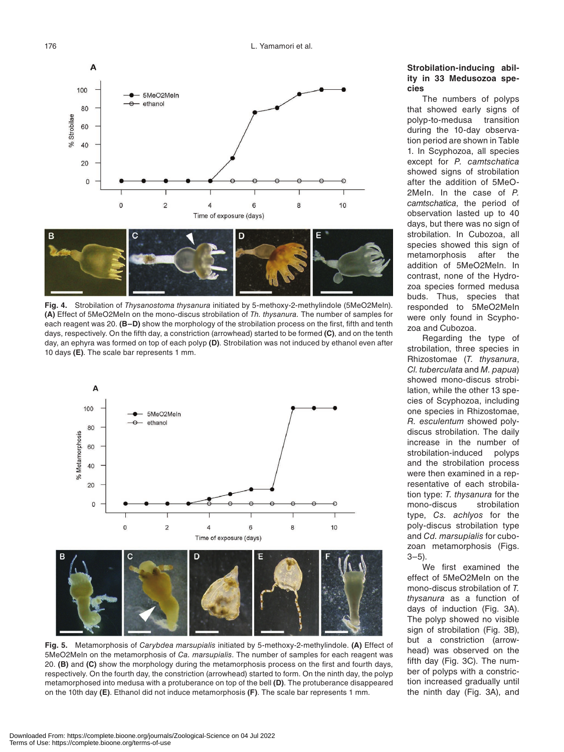

**Fig. 4.** Strobilation of *Thysanostoma thysanura* initiated by 5-methoxy-2-methylindole (5MeO2MeIn). **(A)** Effect of 5MeO2MeIn on the mono-discus strobilation of *Th. thysanura.* The number of samples for each reagent was 20. **(B–D)** show the morphology of the strobilation process on the first, fifth and tenth days, respectively. On the fifth day, a constriction (arrowhead) started to be formed **(C)**, and on the tenth day, an ephyra was formed on top of each polyp **(D)**. Strobilation was not induced by ethanol even after 10 days **(E)**. The scale bar represents 1 mm.



**Fig. 5.** Metamorphosis of *Carybdea marsupialis* initiated by 5-methoxy-2-methylindole. **(A)** Effect of 5MeO2MeIn on the metamorphosis of *Ca. marsupialis*. The number of samples for each reagent was 20. **(B)** and **(C)** show the morphology during the metamorphosis process on the first and fourth days, respectively. On the fourth day, the constriction (arrowhead) started to form. On the ninth day, the polyp metamorphosed into medusa with a protuberance on top of the bell **(D)**. The protuberance disappeared on the 10th day **(E)**. Ethanol did not induce metamorphosis **(F)**. The scale bar represents 1 mm.

### **Strobilation-inducing ability in 33 Medusozoa species**

The numbers of polyps that showed early signs of polyp-to-medusa transition during the 10-day observation period are shown in Table 1. In Scyphozoa, all species except for *P. camtschatica* showed signs of strobilation after the addition of 5MeO-2MeIn. In the case of *P. camtschatica*, the period of observation lasted up to 40 days, but there was no sign of strobilation. In Cubozoa, all species showed this sign of metamorphosis after the addition of 5MeO2MeIn. In contrast, none of the Hydrozoa species formed medusa buds. Thus, species that responded to 5MeO2MeIn were only found in Scyphozoa and Cubozoa.

Regarding the type of strobilation, three species in Rhizostomae (*T. thysanura*, *Cl. tuberculata* and *M. papua*) showed mono-discus strobilation, while the other 13 species of Scyphozoa, including one species in Rhizostomae, *R. esculentum* showed polydiscus strobilation. The daily increase in the number of strobilation-induced polyps and the strobilation process were then examined in a representative of each strobilation type: *T. thysanura* for the mono-discus strobilation type, *Cs. achlyos* for the poly-discus strobilation type and *Cd. marsupialis* for cubozoan metamorphosis (Figs.  $3 - 5$ ).

We first examined the effect of 5MeO2MeIn on the mono-discus strobilation of *T. thysanura* as a function of days of induction (Fig. 3A). The polyp showed no visible sign of strobilation (Fig. 3B), but a constriction (arrowhead) was observed on the fifth day (Fig. 3C). The number of polyps with a constriction increased gradually until the ninth day (Fig. 3A), and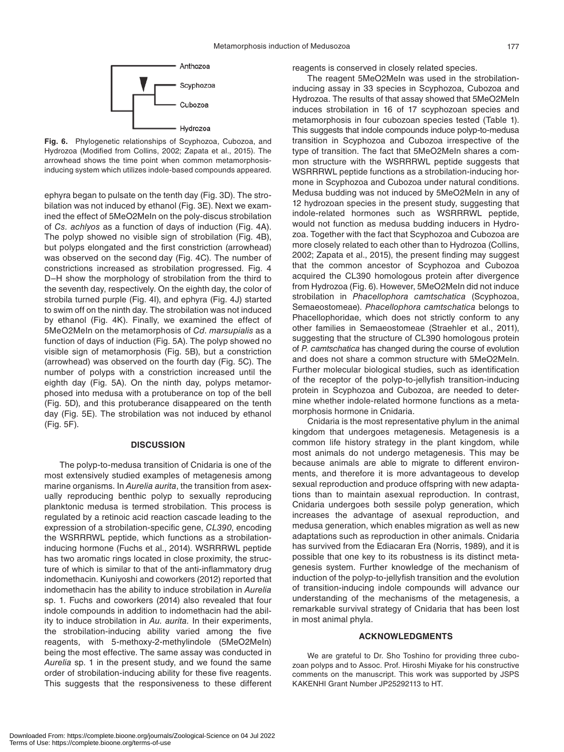

**Fig. 6.** Phylogenetic relationships of Scyphozoa, Cubozoa, and Hydrozoa (Modified from Collins, 2002; Zapata et al., 2015). The arrowhead shows the time point when common metamorphosisinducing system which utilizes indole-based compounds appeared.

ephyra began to pulsate on the tenth day (Fig. 3D). The strobilation was not induced by ethanol (Fig. 3E). Next we examined the effect of 5MeO2MeIn on the poly-discus strobilation of *Cs. achlyos* as a function of days of induction (Fig. 4A). The polyp showed no visible sign of strobilation (Fig. 4B), but polyps elongated and the first constriction (arrowhead) was observed on the second day (Fig. 4C). The number of constrictions increased as strobilation progressed. Fig. 4 D–H show the morphology of strobilation from the third to the seventh day, respectively. On the eighth day, the color of strobila turned purple (Fig. 4I), and ephyra (Fig. 4J) started to swim off on the ninth day. The strobilation was not induced by ethanol (Fig. 4K). Finally, we examined the effect of 5MeO2MeIn on the metamorphosis of *Cd. marsupialis* as a function of days of induction (Fig. 5A). The polyp showed no visible sign of metamorphosis (Fig. 5B), but a constriction (arrowhead) was observed on the fourth day (Fig. 5C). The number of polyps with a constriction increased until the eighth day (Fig. 5A). On the ninth day, polyps metamorphosed into medusa with a protuberance on top of the bell (Fig. 5D), and this protuberance disappeared on the tenth day (Fig. 5E). The strobilation was not induced by ethanol (Fig. 5F).

#### **DISCUSSION**

The polyp-to-medusa transition of Cnidaria is one of the most extensively studied examples of metagenesis among marine organisms. In *Aurelia aurita*, the transition from asexually reproducing benthic polyp to sexually reproducing planktonic medusa is termed strobilation. This process is regulated by a retinoic acid reaction cascade leading to the expression of a strobilation-specific gene, *CL390*, encoding the WSRRRWL peptide, which functions as a strobilationinducing hormone (Fuchs et al., 2014). WSRRRWL peptide has two aromatic rings located in close proximity, the structure of which is similar to that of the anti-inflammatory drug indomethacin. Kuniyoshi and coworkers (2012) reported that indomethacin has the ability to induce strobilation in *Aurelia* sp. 1. Fuchs and coworkers (2014) also revealed that four indole compounds in addition to indomethacin had the ability to induce strobilation in *Au. aurita.* In their experiments, the strobilation-inducing ability varied among the five reagents, with 5-methoxy-2-methylindole (5MeO2MeIn) being the most effective. The same assay was conducted in *Aurelia* sp. 1 in the present study, and we found the same order of strobilation-inducing ability for these five reagents. This suggests that the responsiveness to these different reagents is conserved in closely related species.

The reagent 5MeO2MeIn was used in the strobilationinducing assay in 33 species in Scyphozoa, Cubozoa and Hydrozoa. The results of that assay showed that 5MeO2MeIn induces strobilation in 16 of 17 scyphozoan species and metamorphosis in four cubozoan species tested (Table 1). This suggests that indole compounds induce polyp-to-medusa transition in Scyphozoa and Cubozoa irrespective of the type of transition. The fact that 5MeO2MeIn shares a common structure with the WSRRRWL peptide suggests that WSRRRWL peptide functions as a strobilation-inducing hormone in Scyphozoa and Cubozoa under natural conditions. Medusa budding was not induced by 5MeO2MeIn in any of 12 hydrozoan species in the present study, suggesting that indole-related hormones such as WSRRRWL peptide, would not function as medusa budding inducers in Hydrozoa. Together with the fact that Scyphozoa and Cubozoa are more closely related to each other than to Hydrozoa (Collins, 2002; Zapata et al., 2015), the present finding may suggest that the common ancestor of Scyphozoa and Cubozoa acquired the CL390 homologous protein after divergence from Hydrozoa (Fig. 6). However, 5MeO2MeIn did not induce strobilation in *Phacellophora camtschatica* (Scyphozoa, Semaeostomeae). *Phacellophora camtschatica* belongs to Phacellophoridae, which does not strictly conform to any other families in Semaeostomeae (Straehler et al., 2011), suggesting that the structure of CL390 homologous protein of *P. camtschatica* has changed during the course of evolution and does not share a common structure with 5MeO2MeIn. Further molecular biological studies, such as identification of the receptor of the polyp-to-jellyfish transition-inducing protein in Scyphozoa and Cubozoa, are needed to determine whether indole-related hormone functions as a metamorphosis hormone in Cnidaria.

Cnidaria is the most representative phylum in the animal kingdom that undergoes metagenesis. Metagenesis is a common life history strategy in the plant kingdom, while most animals do not undergo metagenesis. This may be because animals are able to migrate to different environments, and therefore it is more advantageous to develop sexual reproduction and produce offspring with new adaptations than to maintain asexual reproduction. In contrast, Cnidaria undergoes both sessile polyp generation, which increases the advantage of asexual reproduction, and medusa generation, which enables migration as well as new adaptations such as reproduction in other animals. Cnidaria has survived from the Ediacaran Era (Norris, 1989), and it is possible that one key to its robustness is its distinct metagenesis system. Further knowledge of the mechanism of induction of the polyp-to-jellyfish transition and the evolution of transition-inducing indole compounds will advance our understanding of the mechanisms of the metagenesis, a remarkable survival strategy of Cnidaria that has been lost in most animal phyla.

#### **ACKNOWLEDGMENTS**

We are grateful to Dr. Sho Toshino for providing three cubozoan polyps and to Assoc. Prof. Hiroshi Miyake for his constructive comments on the manuscript. This work was supported by JSPS KAKENHI Grant Number JP25292113 to HT.